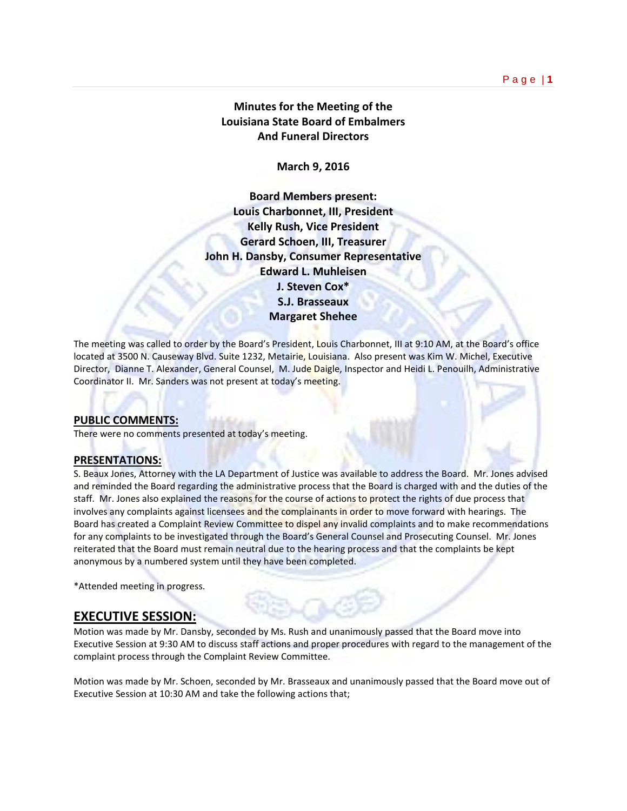# **Minutes for the Meeting of the Louisiana State Board of Embalmers And Funeral Directors**

**March 9, 2016**

**Board Members present: Louis Charbonnet, III, President Kelly Rush, Vice President Gerard Schoen, III, Treasurer John H. Dansby, Consumer Representative Edward L. Muhleisen J. Steven Cox\* S.J. Brasseaux Margaret Shehee**

The meeting was called to order by the Board's President, Louis Charbonnet, III at 9:10 AM, at the Board's office located at 3500 N. Causeway Blvd. Suite 1232, Metairie, Louisiana. Also present was Kim W. Michel, Executive Director, Dianne T. Alexander, General Counsel, M. Jude Daigle, Inspector and Heidi L. Penouilh, Administrative Coordinator II. Mr. Sanders was not present at today's meeting.

### **PUBLIC COMMENTS:**

There were no comments presented at today's meeting.

### **PRESENTATIONS:**

S. Beaux Jones, Attorney with the LA Department of Justice was available to address the Board. Mr. Jones advised and reminded the Board regarding the administrative process that the Board is charged with and the duties of the staff. Mr. Jones also explained the reasons for the course of actions to protect the rights of due process that involves any complaints against licensees and the complainants in order to move forward with hearings. The Board has created a Complaint Review Committee to dispel any invalid complaints and to make recommendations for any complaints to be investigated through the Board's General Counsel and Prosecuting Counsel. Mr. Jones reiterated that the Board must remain neutral due to the hearing process and that the complaints be kept anonymous by a numbered system until they have been completed.

\*Attended meeting in progress.

# **EXECUTIVE SESSION:**

Motion was made by Mr. Dansby, seconded by Ms. Rush and unanimously passed that the Board move into Executive Session at 9:30 AM to discuss staff actions and proper procedures with regard to the management of the complaint process through the Complaint Review Committee.

Motion was made by Mr. Schoen, seconded by Mr. Brasseaux and unanimously passed that the Board move out of Executive Session at 10:30 AM and take the following actions that;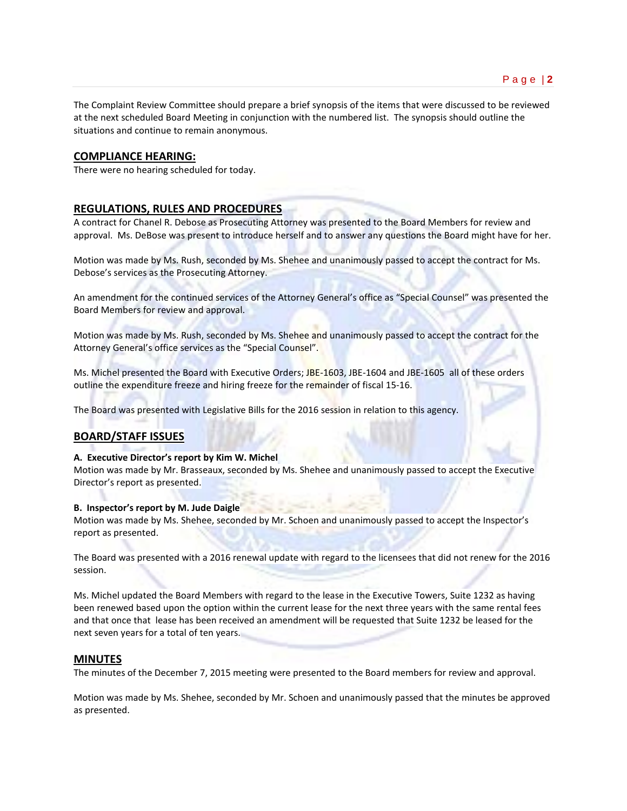The Complaint Review Committee should prepare a brief synopsis of the items that were discussed to be reviewed at the next scheduled Board Meeting in conjunction with the numbered list. The synopsis should outline the situations and continue to remain anonymous.

### **COMPLIANCE HEARING:**

There were no hearing scheduled for today.

### **REGULATIONS, RULES AND PROCEDURES**

A contract for Chanel R. Debose as Prosecuting Attorney was presented to the Board Members for review and approval. Ms. DeBose was present to introduce herself and to answer any questions the Board might have for her.

Motion was made by Ms. Rush, seconded by Ms. Shehee and unanimously passed to accept the contract for Ms. Debose's services as the Prosecuting Attorney.

An amendment for the continued services of the Attorney General's office as "Special Counsel" was presented the Board Members for review and approval.

Motion was made by Ms. Rush, seconded by Ms. Shehee and unanimously passed to accept the contract for the Attorney General's office services as the "Special Counsel".

Ms. Michel presented the Board with Executive Orders; JBE-1603, JBE-1604 and JBE-1605 all of these orders outline the expenditure freeze and hiring freeze for the remainder of fiscal 15-16.

The Board was presented with Legislative Bills for the 2016 session in relation to this agency.

### **BOARD/STAFF ISSUES**

### **A. Executive Director's report by Kim W. Michel**

Motion was made by Mr. Brasseaux, seconded by Ms. Shehee and unanimously passed to accept the Executive Director's report as presented.

#### **B. Inspector's report by M. Jude Daigle**

Motion was made by Ms. Shehee, seconded by Mr. Schoen and unanimously passed to accept the Inspector's report as presented.

The Board was presented with a 2016 renewal update with regard to the licensees that did not renew for the 2016 session.

Ms. Michel updated the Board Members with regard to the lease in the Executive Towers, Suite 1232 as having been renewed based upon the option within the current lease for the next three years with the same rental fees and that once that lease has been received an amendment will be requested that Suite 1232 be leased for the next seven years for a total of ten years.

### **MINUTES**

The minutes of the December 7, 2015 meeting were presented to the Board members for review and approval.

Motion was made by Ms. Shehee, seconded by Mr. Schoen and unanimously passed that the minutes be approved as presented.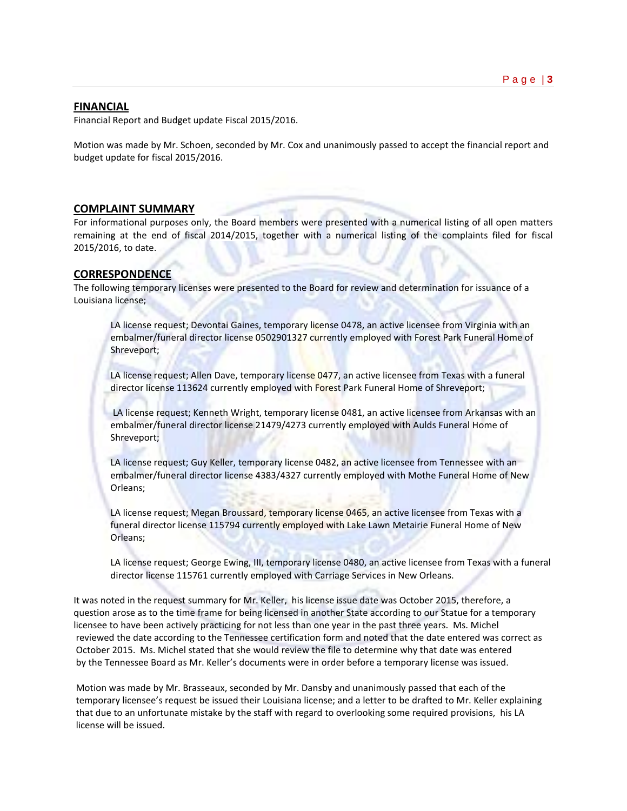## **FINANCIAL**

Financial Report and Budget update Fiscal 2015/2016.

Motion was made by Mr. Schoen, seconded by Mr. Cox and unanimously passed to accept the financial report and budget update for fiscal 2015/2016.

### **COMPLAINT SUMMARY**

For informational purposes only, the Board members were presented with a numerical listing of all open matters remaining at the end of fiscal 2014/2015, together with a numerical listing of the complaints filed for fiscal 2015/2016, to date.

## **CORRESPONDENCE**

The following temporary licenses were presented to the Board for review and determination for issuance of a Louisiana license;

LA license request; Devontai Gaines, temporary license 0478, an active licensee from Virginia with an embalmer/funeral director license 0502901327 currently employed with Forest Park Funeral Home of Shreveport;

LA license request; Allen Dave, temporary license 0477, an active licensee from Texas with a funeral director license 113624 currently employed with Forest Park Funeral Home of Shreveport;

LA license request; Kenneth Wright, temporary license 0481, an active licensee from Arkansas with an embalmer/funeral director license 21479/4273 currently employed with Aulds Funeral Home of Shreveport;

LA license request; Guy Keller, temporary license 0482, an active licensee from Tennessee with an embalmer/funeral director license 4383/4327 currently employed with Mothe Funeral Home of New Orleans;

LA license request; Megan Broussard, temporary license 0465, an active licensee from Texas with a funeral director license 115794 currently employed with Lake Lawn Metairie Funeral Home of New Orleans;

LA license request; George Ewing, III, temporary license 0480, an active licensee from Texas with a funeral director license 115761 currently employed with Carriage Services in New Orleans.

It was noted in the request summary for Mr. Keller, his license issue date was October 2015, therefore, a question arose as to the time frame for being licensed in another State according to our Statue for a temporary licensee to have been actively practicing for not less than one year in the past three years. Ms. Michel reviewed the date according to the Tennessee certification form and noted that the date entered was correct as October 2015. Ms. Michel stated that she would review the file to determine why that date was entered by the Tennessee Board as Mr. Keller's documents were in order before a temporary license was issued.

Motion was made by Mr. Brasseaux, seconded by Mr. Dansby and unanimously passed that each of the temporary licensee's request be issued their Louisiana license; and a letter to be drafted to Mr. Keller explaining that due to an unfortunate mistake by the staff with regard to overlooking some required provisions, his LA license will be issued.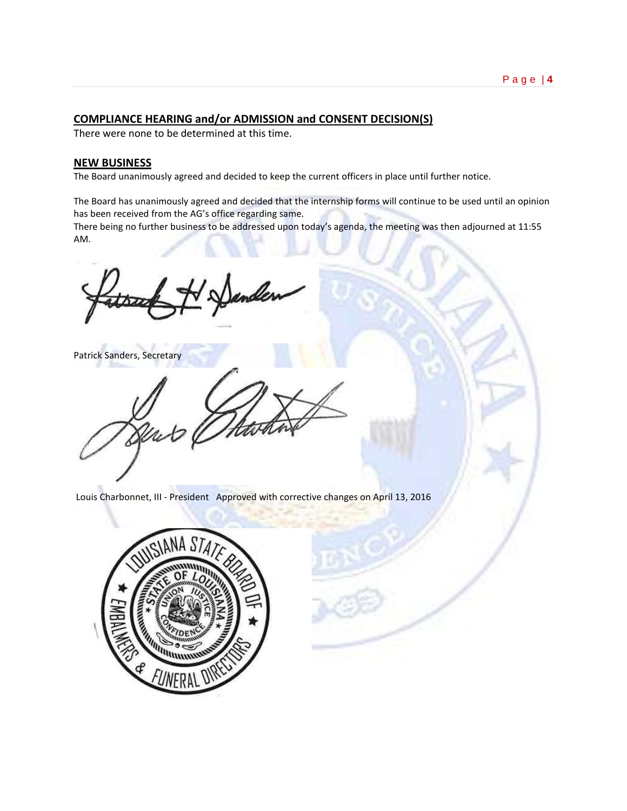### Page | **4**

## **COMPLIANCE HEARING and/or ADMISSION and CONSENT DECISION(S)**

There were none to be determined at this time.

## **NEW BUSINESS**

The Board unanimously agreed and decided to keep the current officers in place until further notice.

The Board has unanimously agreed and decided that the internship forms will continue to be used until an opinion has been received from the AG's office regarding same.

There being no further business to be addressed upon today's agenda, the meeting was then adjourned at 11:55 AM.

Patrick Sanders, Secretary

Louis Charbonnet, III - President Approved with corrective changes on April 13, 2016